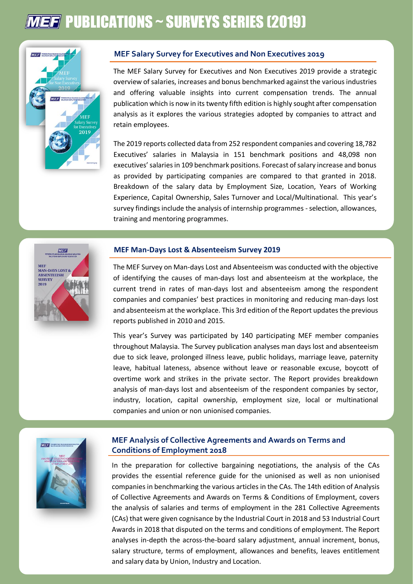# **MEF** PUBLICATIONS ~ SURVEYS SERIES (2019)



## **MEF Salary Survey for Executives and Non Executives 2019**

The MEF Salary Survey for Executives and Non Executives 2019 provide a strategic overview of salaries, increases and bonus benchmarked against the various industries and offering valuable insights into current compensation trends. The annual publication which is now in its twenty fifth edition is highly sought after compensation analysis as it explores the various strategies adopted by companies to attract and retain employees.

The 2019 reports collected data from 252 respondent companies and covering 18,782 Executives' salaries in Malaysia in 151 benchmark positions and 48,098 non executives' salaries in 109 benchmark positions. Forecast of salary increase and bonus as provided by participating companies are compared to that granted in 2018. Breakdown of the salary data by Employment Size, Location, Years of Working Experience, Capital Ownership, Sales Turnover and Local/Multinational. This year's survey findings include the analysis of internship programmes - selection, allowances, training and mentoring programmes.



#### **MEF Man-Days Lost & Absenteeism Survey 2019**

The MEF Survey on Man-days Lost and Absenteeism was conducted with the objective of identifying the causes of man-days lost and absenteeism at the workplace, the current trend in rates of man-days lost and absenteeism among the respondent companies and companies' best practices in monitoring and reducing man-days lost and absenteeism at the workplace. This 3rd edition of the Report updates the previous reports published in 2010 and 2015.

This year's Survey was participated by 140 participating MEF member companies throughout Malaysia. The Survey publication analyses man days lost and absenteeism due to sick leave, prolonged illness leave, public holidays, marriage leave, paternity leave, habitual lateness, absence without leave or reasonable excuse, boycott of overtime work and strikes in the private sector. The Report provides breakdown analysis of man-days lost and absenteeism of the respondent companies by sector, industry, location, capital ownership, employment size, local or multinational companies and union or non unionised companies.



### **MEF Analysis of Collective Agreements and Awards on Terms and Conditions of Employment 2018**

In the preparation for collective bargaining negotiations, the analysis of the CAs provides the essential reference guide for the unionised as well as non unionised companies in benchmarking the various articles in the CAs. The 14th edition of Analysis of Collective Agreements and Awards on Terms & Conditions of Employment, covers the analysis of salaries and terms of employment in the 281 Collective Agreements (CAs) that were given cognisance by the Industrial Court in 2018 and 53 Industrial Court Awards in 2018 that disputed on the terms and conditions of employment. The Report analyses in-depth the across-the-board salary adjustment, annual increment, bonus, salary structure, terms of employment, allowances and benefits, leaves entitlement and salary data by Union, Industry and Location.